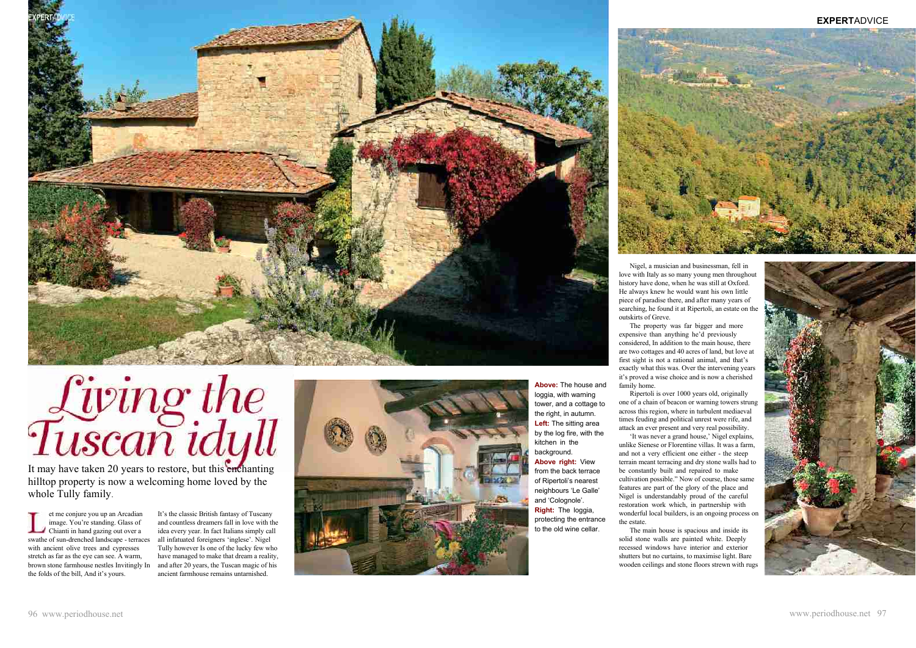

# Living the

It may have taken 20 years to restore, but this enchanting hilltop property is now a welcoming home loved by the whole Tully family.

et me conjure you up an Arcadian image. You're standing. Glass of Chianti in hand gazing out over a swathe of sun-drenched landscape - terraces with ancient olive trees and cypresses stretch as far as the eye can see. A warm, brown stone farmhouse nestles Invitingly In the folds of the bill, And it's yours.

It's the classic British fantasy of Tuscany and countless dreamers fall in love with the idea every year. In fact Italians simply call all infatuated foreigners 'inglese'. Nigel Tully however Is one of the lucky few who have managed to make that dream a reality, and after 20 years, the Tuscan magic of his ancient farmhouse remains untarnished.

Nigel, a musician and businessman, fell in love with Italy as so many young men throughout history have done, when he was still at Oxford. He always knew he would want his own little piece of paradise there, and after many years of searching, he found it at Ripertoli, an estate on the outskirts of Greve.

The property was far bigger and more expensive than anything he'd previously considered, In addition to the main house, there are two cottages and 40 acres of land, but love at first sight is not a rational animal, and that's exactly what this was. Over the intervening years it's proved a wise choice and is now a cherished family home.

Ripertoli is over 1000 years old, originally 'It was never a grand house,' Nigel explains,

one of a chain of beacon or warning towers strung across this region, where in turbulent mediaeval times feuding and political unrest were rife, and attack an ever present and very real possibility. unlike Sienese or Florentine villas. It was a farm, and not a very efficient one either - the steep terrain meant terracing and dry stone walls had to be constantly built and repaired to make cultivation possible." Now of course, those same features are part of the glory of the place and Nigel is understandably proud of the careful restoration work which, in partnership with wonderful local builders, is an ongoing process on the estate.

The main house is spacious and inside its solid stone walls are painted white. Deeply recessed windows have interior and exterior shutters but no curtains, to maximise light. Bare wooden ceilings and stone floors strewn with rugs





# **EXPERT**ADVICE

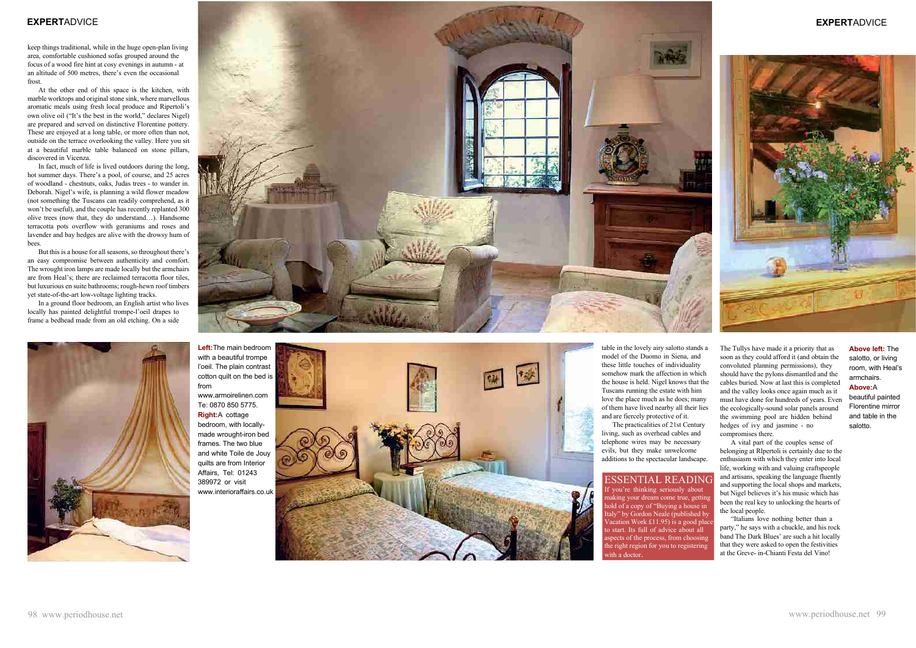keep things traditional, while in the huge open-plan living area, comfortable cushioned sofas grouped around the focus of a wood fire hint at cosy evenings in autumn - at an altitude of 500 metres, there's even the occasional frost.

At the other end of this space is the kitchen, with marble worktops and original stone sink, where marvellous aromatic meals using fresh local produce and Ripertoli's own olive oil ("It's the best in the world," declares Nigel) are prepared and served on distinctive Florentine pottery. These are enjoyed at a long table, or more often than not, outside on the terrace overlooking the valley. Here you sit at a beautiful marble table balanced on stone pillars, discovered in Vicenza.

In fact, much of life is lived outdoors during the long, hot summer days. There's a pool, of course, and 25 acres of woodland - chestnuts, oaks, Judas trees - to wander in. Deborah. Nigel's wife, is planning a wild flower meadow (not something the Tuscans can readily comprehend, as it won't be useful), and the couple has recently replanted 300 olive trees (now that, they do understand…). Handsome terracotta pots overflow with geraniums and roses and lavender and bay hedges are alive with the drowsy hum of bees.

But this is a house for all seasons, so throughout there's an easy compromise between authenticity and comfort. The wrought iron lamps are made locally but the armchairs are from Heal's; there are reclaimed terracotta floor tiles, but luxurious en suite bathrooms; rough-hewn roof timbers yet state-of-the-art low-voltage lighting tracks.

In a ground floor bedroom, an English artist who lives locally has painted delightful trompe-l'oeil drapes to frame a bedhead made from an old etching. On a side



table in the lovely airy salotto stands a model of the Duomo in Siena, and these little touches of individuality somehow mark the affection in which the house is held. Nigel knows that the Tuscans running the estate with him love the place much as he does; many of them have lived nearby all their lies and are fiercely protective of it.

The practicalities of 21st Century living, such as overhead cables and telephone wires may be necessary evils, but they make unwelcome additions to the spectacular landscape. The Tullys have made it a priority that as soon as they could afford it (and obtain the convoluted planning permissions), they should have the pylons dismantled and the cables buried. Now at last this is completed and the valley looks once again much as it must have done for hundreds of years. Even the ecologically-sound solar panels around the swimming pool are hidden behind hedges of ivy and jasmine - no compromises there.

A vital part of the couples sense of belonging at Rlpertoli is certainly due to the enthusiasm with which they enter into local life, working with and valuing craftspeople and artisans, speaking the language fluently and supporting the local shops and markets, but Nigel believes it's his music which has been the real key to unlocking the hearts of the local people.

"Italians love nothing better than a party," he says with a chuckle, and his rock band The Dark Blues' are such a hit locally that they were asked to open the festivities at the Greve- in-Chianti Festa del Vino!

# ESSENTIAL READING

you're thinking seriously about aking your dream come true, getting hold of a copy of "Buying a house in Italy" by Gordon Neale (published by Vacation Work É11.95) is a good place o start. Its full of advice about all spects of the process, from choosing the right region for you to registering ith a doctor



**Left:**The main bedroom with a beautiful trompe l'oeil. The plain contrast cotton quilt on the bed is from www.armoirelinen.com Te: 0870 850 5775. **Right:**A cottage bedroom, with locallymade wrought-iron bed frames. The two blue and white Toile de Jouy quilts are from Interior Affairs, Tel: 01243 389972 or visit

www.interioraffairs.co.uk



**Above left:** The salotto, or living room, with Heal's armchairs.

## **Above:**A

beautiful painted Florentine mirror and table in the salotto.